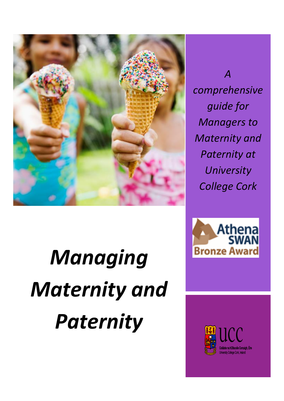

# *Managing Maternity and Paternity*

*A comprehensive guide for Managers to Maternity and Paternity at University College Cork*



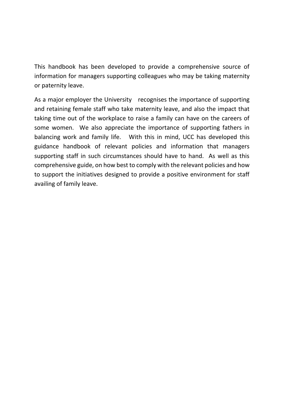This handbook has been developed to provide a comprehensive source of information for managers supporting colleagues who may be taking maternity or paternity leave.

As a major employer the University recognises the importance of supporting and retaining female staff who take maternity leave, and also the impact that taking time out of the workplace to raise a family can have on the careers of some women. We also appreciate the importance of supporting fathers in balancing work and family life. With this in mind, UCC has developed this guidance handbook of relevant policies and information that managers supporting staff in such circumstances should have to hand. As well as this comprehensive guide, on how best to comply with the relevant policies and how to support the initiatives designed to provide a positive environment for staff availing of family leave.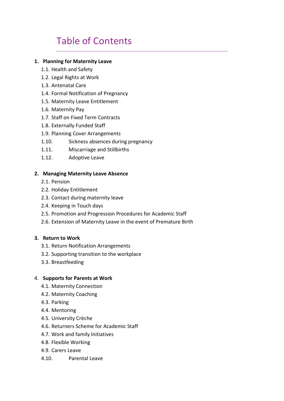### Table of Contents

#### **1. Planning for Maternity Leave**

- 1.1. Health and Safety
- 1.2. Legal Rights at Work
- 1.3. Antenatal Care
- 1.4. Formal Notification of Pregnancy
- 1.5. Maternity Leave Entitlement
- 1.6. Maternity Pay
- 1.7. Staff on Fixed Term Contracts
- 1.8. Externally Funded Staff
- 1.9. Planning Cover Arrangements
- 1.10. Sickness absences during pregnancy
- 1.11. Miscarriage and Stillbirths
- 1.12. Adoptive Leave

#### **2. Managing Maternity Leave Absence**

- 2.1. Pension
- 2.2. Holiday Entitlement
- 2.3. Contact during maternity leave
- 2.4. Keeping in Touch days
- 2.5. Promotion and Progression Procedures for Academic Staff
- 2.6. Extension of Maternity Leave in the event of Premature Birth

#### **3. Return to Work**

- 3.1. Return Notification Arrangements
- 3.2. Supporting transition to the workplace
- 3.3. Breastfeeding

#### 4. **Supports for Parents at Work**

- 4.1. Maternity Connection
- 4.2. Maternity Coaching
- 4.3. Parking
- 4.4. Mentoring
- 4.5. University Crèche
- 4.6. Returners Scheme for Academic Staff
- 4.7. Work and family Initiatives
- 4.8. Flexible Working
- 4.9. Carers Leave
- 4.10. Parental Leave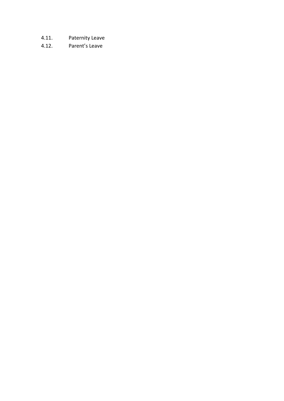- 4.11. Paternity Leave
- 4.12. Parent's Leave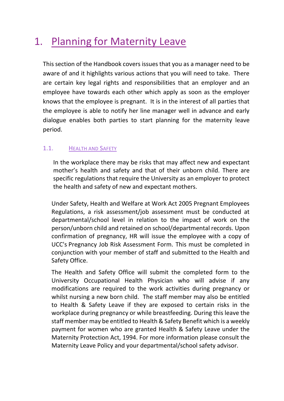# 1. Planning for Maternity Leave

This section of the Handbook covers issues that you as a manager need to be aware of and it highlights various actions that you will need to take. There are certain key legal rights and responsibilities that an employer and an employee have towards each other which apply as soon as the employer knows that the employee is pregnant. It is in the interest of all parties that the employee is able to notify her line manager well in advance and early dialogue enables both parties to start planning for the maternity leave period.

#### 1.1. HEALTH AND SAFETY

In the workplace there may be risks that may affect new and expectant mother's health and safety and that of their unborn child. There are specific regulations that require the University as an employer to protect the health and safety of new and expectant mothers.

Under Safety, Health and Welfare at Work Act 2005 Pregnant Employees Regulations, a risk assessment/job assessment must be conducted at departmental/school level in relation to the impact of work on the person/unborn child and retained on school/departmental records. Upon confirmation of pregnancy, HR will issue the employee with a copy of UCC's Pregnancy Job Risk Assessment Form. This must be completed in conjunction with your member of staff and submitted to the Health and Safety Office.

The Health and Safety Office will submit the completed form to the University Occupational Health Physician who will advise if any modifications are required to the work activities during pregnancy or whilst nursing a new born child. The staff member may also be entitled to Health & Safety Leave if they are exposed to certain risks in the workplace during pregnancy or while breastfeeding. During this leave the staff member may be entitled to Health & Safety Benefit which is a weekly payment for women who are granted Health & Safety Leave under the Maternity Protection Act, 1994. For more information please consult the Maternity Leave Policy and your departmental/school safety advisor.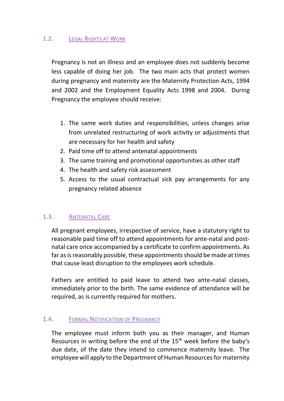#### 1.2. LEGAL RIGHTS AT WORK

Pregnancy is not an illness and an employee does not suddenly become less capable of doing her job. The two main acts that protect women during pregnancy and maternity are the Maternity Protection Acts, 1994 and 2002 and the Employment Equality Acts 1998 and 2004. During Pregnancy the employee should receive:

- 1. The same work duties and responsibilities, unless changes arise from unrelated restructuring of work activity or adjustments that are necessary for her health and safety
- 2. Paid time off to attend antenatal appointments
- 3. The same training and promotional opportunities as other staff
- 4. The health and safety risk assessment
- 5. Access to the usual contractual sick pay arrangements for any pregnancy related absence

#### 1.3. ANTENATAL CARE

All pregnant employees, irrespective of service, have a statutory right to reasonable paid time off to attend appointments for ante-natal and postnatal care once accompanied by a certificate to confirm appointments. As far as is reasonably possible, these appointments should be made at times that cause least disruption to the employees work schedule.

Fathers are entitled to paid leave to attend two ante-natal classes, immediately prior to the birth. The same evidence of attendance will be required, as is currently required for mothers.

#### 1.4. FORMAL NOTIFICATION OF PREGNANCY

The employee must inform both you as their manager, and Human Resources in writing before the end of the 15<sup>th</sup> week before the baby's due date, of the date they intend to commence maternity leave. The employee will apply to the Department of Human Resources for maternity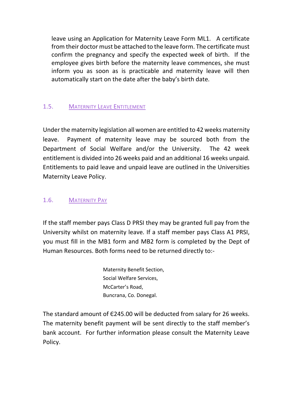leave using an Application for Maternity Leave Form ML1. A certificate from their doctor must be attached to the leave form. The certificate must confirm the pregnancy and specify the expected week of birth. If the employee gives birth before the maternity leave commences, she must inform you as soon as is practicable and maternity leave will then automatically start on the date after the baby's birth date.

#### 1.5. MATERNITY LEAVE ENTITLEMENT

Under the maternity legislation all women are entitled to 42 weeks maternity leave. Payment of maternity leave may be sourced both from the Department of Social Welfare and/or the University. The 42 week entitlement is divided into 26 weeks paid and an additional 16 weeks unpaid. Entitlements to paid leave and unpaid leave are outlined in the Universities Maternity Leave Policy.

#### 1.6. MATERNITY PAY

If the staff member pays Class D PRSI they may be granted full pay from the University whilst on maternity leave. If a staff member pays Class A1 PRSI, you must fill in the MB1 form and MB2 form is completed by the Dept of Human Resources. Both forms need to be returned directly to:-

> Maternity Benefit Section, Social Welfare Services, McCarter's Road, Buncrana, Co. Donegal.

The standard amount of Є245.00 will be deducted from salary for 26 weeks. The maternity benefit payment will be sent directly to the staff member's bank account. For further information please consult the Maternity Leave Policy.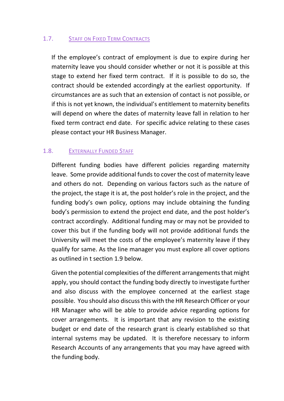#### 1.7. STAFF ON FIXED TERM CONTRACTS

If the employee's contract of employment is due to expire during her maternity leave you should consider whether or not it is possible at this stage to extend her fixed term contract. If it is possible to do so, the contract should be extended accordingly at the earliest opportunity. If circumstances are as such that an extension of contact is not possible, or if this is not yet known, the individual's entitlement to maternity benefits will depend on where the dates of maternity leave fall in relation to her fixed term contract end date. For specific advice relating to these cases please contact your HR Business Manager.

#### 1.8. EXTERNALLY FUNDED STAFF

Different funding bodies have different policies regarding maternity leave. Some provide additional funds to cover the cost of maternity leave and others do not. Depending on various factors such as the nature of the project, the stage it is at, the post holder's role in the project, and the funding body's own policy, options may include obtaining the funding body's permission to extend the project end date, and the post holder's contract accordingly. Additional funding may or may not be provided to cover this but if the funding body will not provide additional funds the University will meet the costs of the employee's maternity leave if they qualify for same. As the line manager you must explore all cover options as outlined in t section 1.9 below.

Given the potential complexities of the different arrangements that might apply, you should contact the funding body directly to investigate further and also discuss with the employee concerned at the earliest stage possible. You should also discussthis with the HR Research Officer or your HR Manager who will be able to provide advice regarding options for cover arrangements. It is important that any revision to the existing budget or end date of the research grant is clearly established so that internal systems may be updated. It is therefore necessary to inform Research Accounts of any arrangements that you may have agreed with the funding body.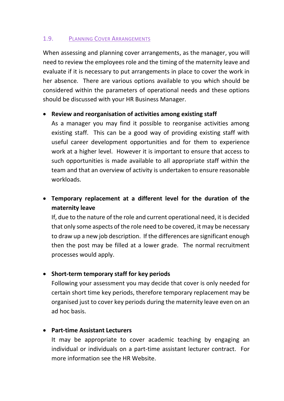#### 1.9. PLANNING COVER ARRANGEMENTS

When assessing and planning cover arrangements, as the manager, you will need to review the employees role and the timing of the maternity leave and evaluate if it is necessary to put arrangements in place to cover the work in her absence. There are various options available to you which should be considered within the parameters of operational needs and these options should be discussed with your HR Business Manager.

#### • **Review and reorganisation of activities among existing staff**

As a manager you may find it possible to reorganise activities among existing staff. This can be a good way of providing existing staff with useful career development opportunities and for them to experience work at a higher level. However it is important to ensure that access to such opportunities is made available to all appropriate staff within the team and that an overview of activity is undertaken to ensure reasonable workloads.

#### • **Temporary replacement at a different level for the duration of the maternity leave**

If, due to the nature of the role and current operational need, it is decided that only some aspects of the role need to be covered, it may be necessary to draw up a new job description. If the differences are significant enough then the post may be filled at a lower grade. The normal recruitment processes would apply.

#### • **Short-term temporary staff for key periods**

Following your assessment you may decide that cover is only needed for certain short time key periods, therefore temporary replacement may be organised just to cover key periods during the maternity leave even on an ad hoc basis.

#### • **Part-time Assistant Lecturers**

It may be appropriate to cover academic teaching by engaging an individual or individuals on a part-time assistant lecturer contract. For more information see the HR Website.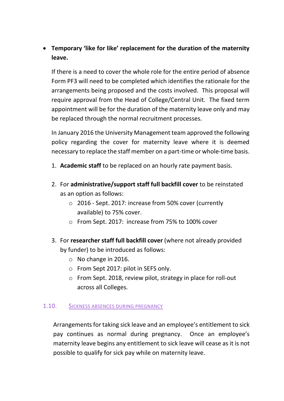#### • **Temporary 'like for like' replacement for the duration of the maternity leave.**

If there is a need to cover the whole role for the entire period of absence Form PF3 will need to be completed which identifies the rationale for the arrangements being proposed and the costs involved. This proposal will require approval from the Head of College/Central Unit. The fixed term appointment will be for the duration of the maternity leave only and may be replaced through the normal recruitment processes.

In January 2016 the University Management team approved the following policy regarding the cover for maternity leave where it is deemed necessary to replace the staff member on a part-time or whole-time basis.

- 1. **Academic staff** to be replaced on an hourly rate payment basis.
- 2. For **administrative/support staff full backfill cover** to be reinstated as an option as follows:
	- o 2016 Sept. 2017: increase from 50% cover (currently available) to 75% cover.
	- o From Sept. 2017: increase from 75% to 100% cover
- 3. For **researcher staff full backfill cover** (where not already provided by funder) to be introduced as follows:
	- o No change in 2016.
	- o From Sept 2017: pilot in SEFS only.
	- o From Sept. 2018, review pilot, strategy in place for roll-out across all Colleges.

#### 1.10. SICKNESS ABSENCES DURING PREGNANCY

Arrangements for taking sick leave and an employee's entitlement to sick pay continues as normal during pregnancy. Once an employee's maternity leave begins any entitlement to sick leave will cease as it is not possible to qualify for sick pay while on maternity leave.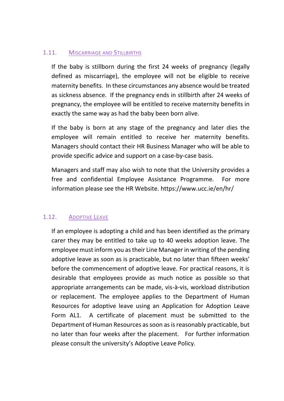#### 1.11. MISCARRIAGE AND STILLBIRTHS

If the baby is stillborn during the first 24 weeks of pregnancy (legally defined as miscarriage), the employee will not be eligible to receive maternity benefits. In these circumstances any absence would be treated as sickness absence. If the pregnancy ends in stillbirth after 24 weeks of pregnancy, the employee will be entitled to receive maternity benefits in exactly the same way as had the baby been born alive.

If the baby is born at any stage of the pregnancy and later dies the employee will remain entitled to receive her maternity benefits. Managers should contact their HR Business Manager who will be able to provide specific advice and support on a case-by-case basis.

Managers and staff may also wish to note that the University provides a free and confidential Employee Assistance Programme. For more information please see the HR Website. https://www.ucc.ie/en/hr/

#### 1.12. ADOPTIVE LEAVE

If an employee is adopting a child and has been identified as the primary carer they may be entitled to take up to 40 weeks adoption leave. The employee must inform you as their Line Manager in writing of the pending adoptive leave as soon as is practicable, but no later than fifteen weeks' before the commencement of adoptive leave. For practical reasons, it is desirable that employees provide as much notice as possible so that appropriate arrangements can be made, vis-à-vis, workload distribution or replacement. The employee applies to the Department of Human Resources for adoptive leave using an Application for Adoption Leave Form AL1. A certificate of placement must be submitted to the Department of Human Resources as soon as is reasonably practicable, but no later than four weeks after the placement. For further information please consult the university's Adoptive Leave Policy.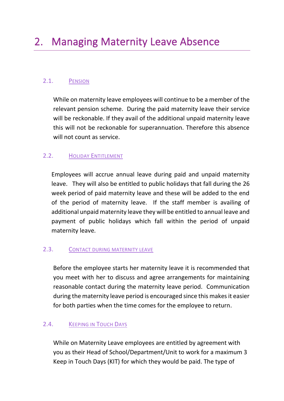#### 2.1. PENSION

While on maternity leave employees will continue to be a member of the relevant pension scheme. During the paid maternity leave their service will be reckonable. If they avail of the additional unpaid maternity leave this will not be reckonable for superannuation. Therefore this absence will not count as service.

#### 2.2. HOLIDAY ENTITLEMENT

Employees will accrue annual leave during paid and unpaid maternity leave. They will also be entitled to public holidays that fall during the 26 week period of paid maternity leave and these will be added to the end of the period of maternity leave. If the staff member is availing of additional unpaid maternity leave they will be entitled to annual leave and payment of public holidays which fall within the period of unpaid maternity leave.

#### 2.3. CONTACT DURING MATERNITY LEAVE

Before the employee starts her maternity leave it is recommended that you meet with her to discuss and agree arrangements for maintaining reasonable contact during the maternity leave period. Communication during the maternity leave period is encouraged since this makes it easier for both parties when the time comes for the employee to return.

#### 2.4. KEEPING IN TOUCH DAYS

While on Maternity Leave employees are entitled by agreement with you as their Head of School/Department/Unit to work for a maximum 3 Keep in Touch Days (KIT) for which they would be paid. The type of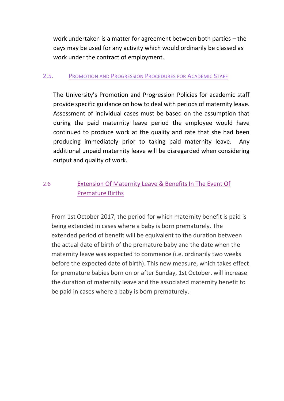work undertaken is a matter for agreement between both parties – the days may be used for any activity which would ordinarily be classed as work under the contract of employment.

#### 2.5. PROMOTION AND PROGRESSION PROCEDURES FOR ACADEMIC STAFF

The University's Promotion and Progression Policies for academic staff provide specific guidance on how to deal with periods of maternity leave. Assessment of individual cases must be based on the assumption that during the paid maternity leave period the employee would have continued to produce work at the quality and rate that she had been producing immediately prior to taking paid maternity leave. Any additional unpaid maternity leave will be disregarded when considering output and quality of work.

#### 2.6 Extension Of Maternity Leave & Benefits In The Event Of Premature Births

From 1st October 2017, the period for which maternity benefit is paid is being extended in cases where a baby is born prematurely. The extended period of benefit will be equivalent to the duration between the actual date of birth of the premature baby and the date when the maternity leave was expected to commence (i.e. ordinarily two weeks before the expected date of birth). This new measure, which takes effect for premature babies born on or after Sunday, 1st October, will increase the duration of maternity leave and the associated maternity benefit to be paid in cases where a baby is born prematurely.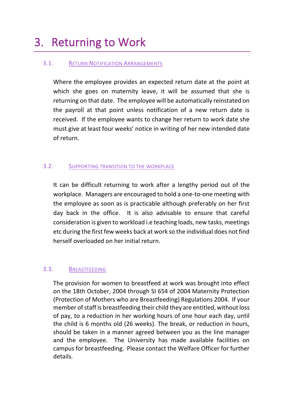# 3. Returning to Work

#### 3.1. RETURN NOTIFICATION ARRANGEMENTS

Where the employee provides an expected return date at the point at which she goes on maternity leave, it will be assumed that she is returning on that date. The employee will be automatically reinstated on the payroll at that point unless notification of a new return date is received. If the employee wants to change her return to work date she must give at least four weeks' notice in writing of her new intended date of return.

#### 3.2. SUPPORTING TRANSITION TO THE WORKPLACE

It can be difficult returning to work after a lengthy period out of the workplace. Managers are encouraged to hold a one-to-one meeting with the employee as soon as is practicable although preferably on her first day back in the office. It is also advisable to ensure that careful consideration is given to workload i.e teaching loads, new tasks, meetings etc during the first few weeks back at work so the individual does not find herself overloaded on her initial return.

#### 3.3. BREASTFEEDING

The provision for women to breastfeed at work was brought into effect on the 18th October, 2004 through SI 654 of 2004 Maternity Protection (Protection of Mothers who are Breastfeeding) Regulations 2004. If your member of staff is breastfeeding their child they are entitled, without loss of pay, to a reduction in her working hours of one hour each day, until the child is 6 months old (26 weeks). The break, or reduction in hours, should be taken in a manner agreed between you as the line manager and the employee. The University has made available facilities on campus for breastfeeding. Please contact the Welfare Officer for further details.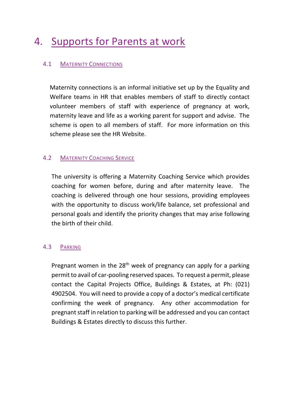# 4. Supports for Parents at work

#### 4.1 MATERNITY CONNECTIONS

Maternity connections is an informal initiative set up by the Equality and Welfare teams in HR that enables members of staff to directly contact volunteer members of staff with experience of pregnancy at work, maternity leave and life as a working parent for support and advise. The scheme is open to all members of staff. For more information on this scheme please see the HR Website.

#### **4.2 MATERNITY COACHING SERVICE**

The university is offering a Maternity Coaching Service which provides coaching for women before, during and after maternity leave. The coaching is delivered through one hour sessions, providing employees with the opportunity to discuss work/life balance, set professional and personal goals and identify the priority changes that may arise following the birth of their child.

#### 4.3 PARKING

Pregnant women in the 28<sup>th</sup> week of pregnancy can apply for a parking permit to avail of car-pooling reserved spaces. To request a permit, please contact the Capital Projects Office, Buildings & Estates, at Ph: (021) 4902504. You will need to provide a copy of a doctor's medical certificate confirming the week of pregnancy. Any other accommodation for pregnant staff in relation to parking will be addressed and you can contact Buildings & Estates directly to discuss this further.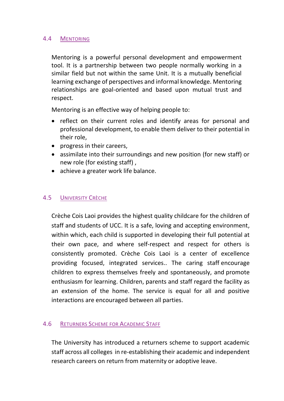#### 4.4 MENTORING

Mentoring is a powerful personal development and empowerment tool. It is a partnership between two people normally working in a similar field but not within the same Unit. It is a mutually beneficial learning exchange of perspectives and informal knowledge. Mentoring relationships are goal-oriented and based upon mutual trust and respect.

Mentoring is an effective way of helping people to:

- reflect on their current roles and identify areas for personal and professional development, to enable them deliver to their potential in their role,
- progress in their careers,
- assimilate into their surroundings and new position (for new staff) or new role (for existing staff) ,
- achieve a greater work life balance.

#### 4.5 UNIVERSITY CRÈCHE

Crèche Cois Laoi provides the highest quality childcare for the children of staff and students of UCC. It is a safe, loving and accepting environment, within which, each child is supported in developing their full potential at their own pace, and where self-respect and respect for others is consistently promoted. Crèche Cois Laoi is a center of excellence providing focused, integrated services.. The caring staff encourage children to express themselves freely and spontaneously, and promote enthusiasm for learning. Children, parents and staff regard the facility as an extension of the home. The service is equal for all and positive interactions are encouraged between all parties.

#### 4.6 RETURNERS SCHEME FOR ACADEMIC STAFF

The University has introduced a returners scheme to support academic staff across all colleges in re-establishing their academic and independent research careers on return from maternity or adoptive leave.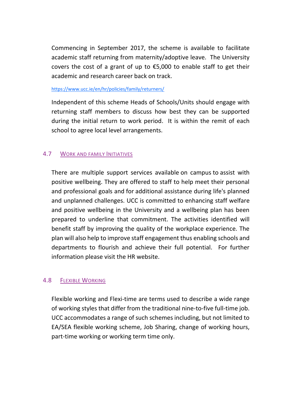Commencing in September 2017, the scheme is available to facilitate academic staff returning from maternity/adoptive leave. The University covers the cost of a grant of up to  $£5,000$  to enable staff to get their academic and research career back on track.

#### <https://www.ucc.ie/en/hr/policies/family/returners/>

Independent of this scheme Heads of Schools/Units should engage with returning staff members to discuss how best they can be supported during the initial return to work period. It is within the remit of each school to agree local level arrangements.

#### 4.7 WORK AND FAMILY INITIATIVES

There are multiple support services available on campus to assist with positive wellbeing. They are offered to staff to help meet their personal and professional goals and for additional assistance during life's planned and unplanned challenges. UCC is committed to enhancing staff welfare and positive wellbeing in the University and a wellbeing plan has been prepared to underline that commitment. The activities identified will benefit staff by improving the quality of the workplace experience. The plan will also help to improve staff engagement thus enabling schools and departments to flourish and achieve their full potential. For further information please visit the HR website.

#### 4.8 FLEXIBLE WORKING

Flexible working and Flexi-time are terms used to describe a wide range of working styles that differ from the traditional nine-to-five full-time job. UCC accommodates a range of such schemes including, but not limited to EA/SEA flexible working scheme, Job Sharing, change of working hours, part-time working or working term time only.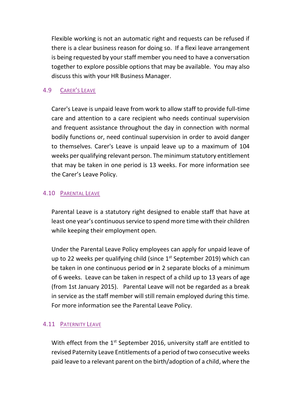Flexible working is not an automatic right and requests can be refused if there is a clear business reason for doing so. If a flexi leave arrangement is being requested by your staff member you need to have a conversation together to explore possible options that may be available. You may also discuss this with your HR Business Manager.

#### 4.9 CARER'S LEAVE

Carer's Leave is unpaid leave from work to allow staff to provide full-time care and attention to a care recipient who needs continual supervision and frequent assistance throughout the day in connection with normal bodily functions or, need continual supervision in order to avoid danger to themselves. Carer's Leave is unpaid leave up to a maximum of 104 weeks per qualifying relevant person. The minimum statutory entitlement that may be taken in one period is 13 weeks. For more information see the Carer's Leave Policy.

#### 4.10 PARENTAL LEAVE

Parental Leave is a statutory right designed to enable staff that have at least one year's continuous service to spend more time with their children while keeping their employment open.

Under the Parental Leave Policy employees can apply for unpaid leave of up to 22 weeks per qualifying child (since  $1<sup>st</sup>$  September 2019) which can be taken in one continuous period **or** in 2 separate blocks of a minimum of 6 weeks. Leave can be taken in respect of a child up to 13 years of age (from 1st January 2015). Parental Leave will not be regarded as a break in service as the staff member will still remain employed during this time. For more information see the Parental Leave Policy.

#### 4.11 PATERNITY LEAVE

With effect from the  $1<sup>st</sup>$  September 2016, university staff are entitled to revised Paternity Leave Entitlements of a period of two consecutive weeks paid leave to a relevant parent on the birth/adoption of a child, where the